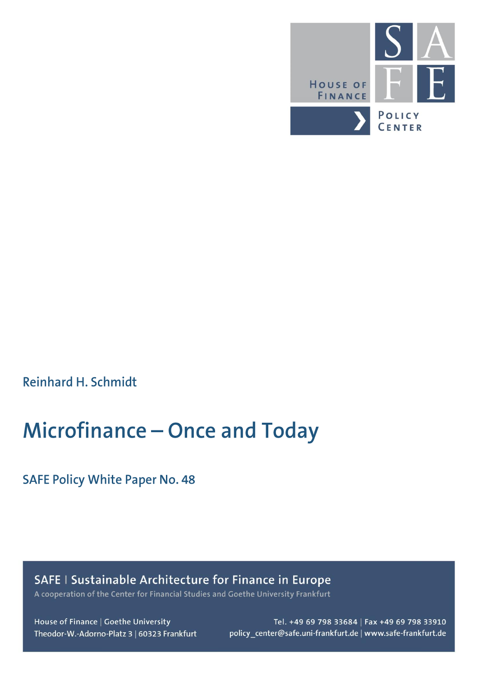

**Reinhard H. Schmidt** 

# Microfinance - Once and Today

**SAFE Policy White Paper No. 48** 

SAFE | Sustainable Architecture for Finance in Europe

A cooperation of the Center for Financial Studies and Goethe University Frankfurt

House of Finance | Goethe University Theodor-W.-Adorno-Platz 3 | 60323 Frankfurt

Tel. +49 69 798 33684 | Fax +49 69 798 33910 policy\_center@safe.uni-frankfurt.de | www.safe-frankfurt.de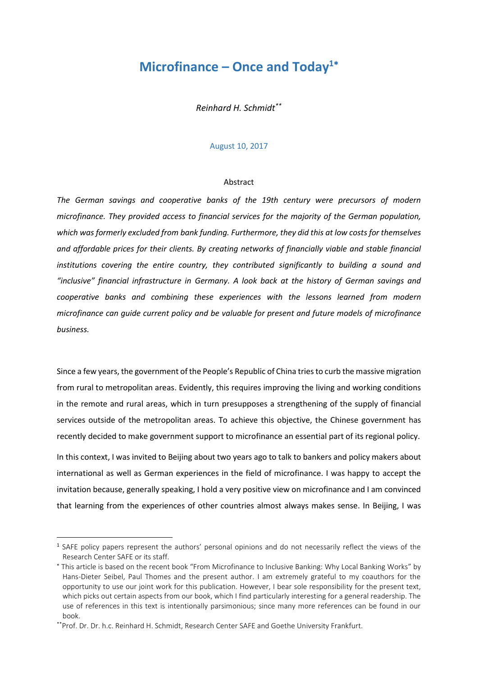## **Microfinance – Once and Today<sup>1</sup>**

*Reinhard H. Schmidt\*\**

## August 10, 2017

#### Abstract

*The German savings and cooperative banks of the 19th century were precursors of modern microfinance. They provided access to financial services for the majority of the German population, which was formerly excluded from bank funding. Furthermore, they did this at low costs for themselves and affordable prices for their clients. By creating networks of financially viable and stable financial*  institutions covering the entire country, they contributed significantly to building a sound and *"inclusive" financial infrastructure in Germany. A look back at the history of German savings and cooperative banks and combining these experiences with the lessons learned from modern microfinance can guide current policy and be valuable for present and future models of microfinance business.*

Since a few years, the government of the People's Republic of China tries to curb the massive migration from rural to metropolitan areas. Evidently, this requires improving the living and working conditions in the remote and rural areas, which in turn presupposes a strengthening of the supply of financial services outside of the metropolitan areas. To achieve this objective, the Chinese government has recently decided to make government support to microfinance an essential part of its regional policy.

In this context, I was invited to Beijing about two years ago to talk to bankers and policy makers about international as well as German experiences in the field of microfinance. I was happy to accept the invitation because, generally speaking, I hold a very positive view on microfinance and I am convinced that learning from the experiences of other countries almost always makes sense. In Beijing, I was

 $\overline{a}$ 

<sup>&</sup>lt;sup>1</sup> SAFE policy papers represent the authors' personal opinions and do not necessarily reflect the views of the Research Center SAFE or its staff.

This article is based on the recent book "From Microfinance to Inclusive Banking: Why Local Banking Works" by Hans-Dieter Seibel, Paul Thomes and the present author. I am extremely grateful to my coauthors for the opportunity to use our joint work for this publication. However, I bear sole responsibility for the present text, which picks out certain aspects from our book, which I find particularly interesting for a general readership. The use of references in this text is intentionally parsimonious; since many more references can be found in our book.

<sup>\*\*</sup>Prof. Dr. Dr. h.c. Reinhard H. Schmidt, Research Center SAFE and Goethe University Frankfurt.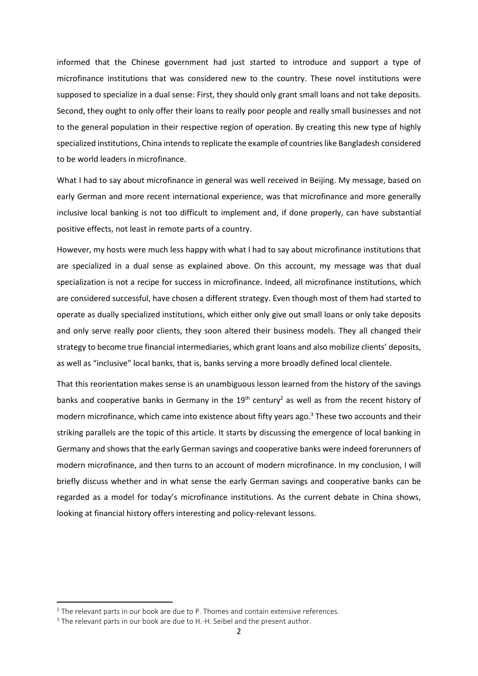informed that the Chinese government had just started to introduce and support a type of microfinance institutions that was considered new to the country. These novel institutions were supposed to specialize in a dual sense: First, they should only grant small loans and not take deposits. Second, they ought to only offer their loans to really poor people and really small businesses and not to the general population in their respective region of operation. By creating this new type of highly specialized institutions, China intends to replicate the example of countries like Bangladesh considered to be world leaders in microfinance.

What I had to say about microfinance in general was well received in Beijing. My message, based on early German and more recent international experience, was that microfinance and more generally inclusive local banking is not too difficult to implement and, if done properly, can have substantial positive effects, not least in remote parts of a country.

However, my hosts were much less happy with what I had to say about microfinance institutions that are specialized in a dual sense as explained above. On this account, my message was that dual specialization is not a recipe for success in microfinance. Indeed, all microfinance institutions, which are considered successful, have chosen a different strategy. Even though most of them had started to operate as dually specialized institutions, which either only give out small loans or only take deposits and only serve really poor clients, they soon altered their business models. They all changed their strategy to become true financial intermediaries, which grant loans and also mobilize clients' deposits, as well as "inclusive" local banks, that is, banks serving a more broadly defined local clientele.

That this reorientation makes sense is an unambiguous lesson learned from the history of the savings banks and cooperative banks in Germany in the  $19<sup>th</sup>$  century<sup>2</sup> as well as from the recent history of modern microfinance, which came into existence about fifty years ago.<sup>3</sup> These two accounts and their striking parallels are the topic of this article. It starts by discussing the emergence of local banking in Germany and shows that the early German savings and cooperative banks were indeed forerunners of modern microfinance, and then turns to an account of modern microfinance. In my conclusion, I will briefly discuss whether and in what sense the early German savings and cooperative banks can be regarded as a model for today's microfinance institutions. As the current debate in China shows, looking at financial history offers interesting and policy-relevant lessons.

1

 $<sup>2</sup>$  The relevant parts in our book are due to P. Thomes and contain extensive references.</sup>

<sup>&</sup>lt;sup>3</sup> The relevant parts in our book are due to H.-H. Seibel and the present author.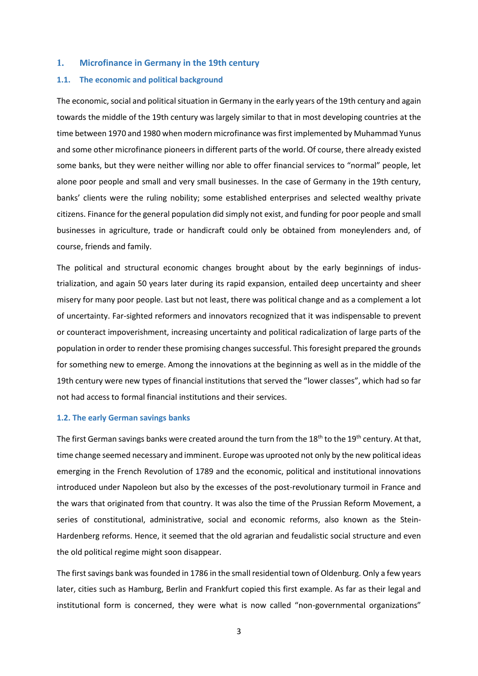## **1. Microfinance in Germany in the 19th century**

## **1.1. The economic and political background**

The economic, social and political situation in Germany in the early years of the 19th century and again towards the middle of the 19th century was largely similar to that in most developing countries at the time between 1970 and 1980 when modern microfinance was first implemented by Muhammad Yunus and some other microfinance pioneers in different parts of the world. Of course, there already existed some banks, but they were neither willing nor able to offer financial services to "normal" people, let alone poor people and small and very small businesses. In the case of Germany in the 19th century, banks' clients were the ruling nobility; some established enterprises and selected wealthy private citizens. Finance for the general population did simply not exist, and funding for poor people and small businesses in agriculture, trade or handicraft could only be obtained from moneylenders and, of course, friends and family.

The political and structural economic changes brought about by the early beginnings of industrialization, and again 50 years later during its rapid expansion, entailed deep uncertainty and sheer misery for many poor people. Last but not least, there was political change and as a complement a lot of uncertainty. Far-sighted reformers and innovators recognized that it was indispensable to prevent or counteract impoverishment, increasing uncertainty and political radicalization of large parts of the population in order to render these promising changes successful. This foresight prepared the grounds for something new to emerge. Among the innovations at the beginning as well as in the middle of the 19th century were new types of financial institutions that served the "lower classes", which had so far not had access to formal financial institutions and their services.

## **1.2. The early German savings banks**

The first German savings banks were created around the turn from the 18<sup>th</sup> to the 19<sup>th</sup> century. At that, time change seemed necessary and imminent. Europe was uprooted not only by the new political ideas emerging in the French Revolution of 1789 and the economic, political and institutional innovations introduced under Napoleon but also by the excesses of the post-revolutionary turmoil in France and the wars that originated from that country. It was also the time of the Prussian Reform Movement, a series of constitutional, administrative, social and economic reforms, also known as the Stein-Hardenberg reforms. Hence, it seemed that the old agrarian and feudalistic social structure and even the old political regime might soon disappear.

The first savings bank was founded in 1786 in the small residential town of Oldenburg. Only a few years later, cities such as Hamburg, Berlin and Frankfurt copied this first example. As far as their legal and institutional form is concerned, they were what is now called "non-governmental organizations"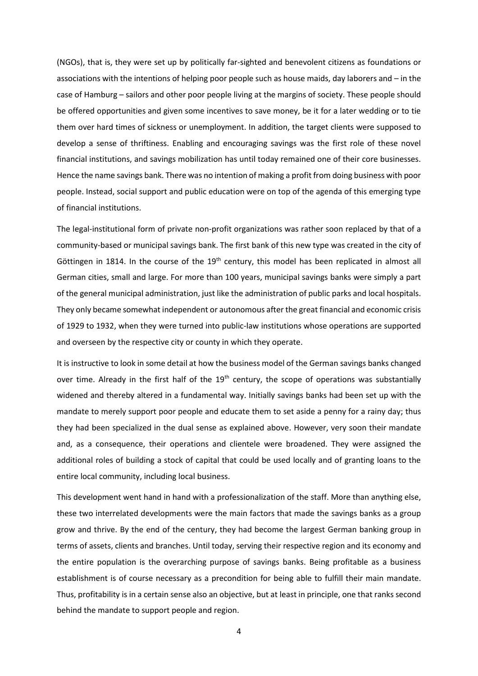(NGOs), that is, they were set up by politically far-sighted and benevolent citizens as foundations or associations with the intentions of helping poor people such as house maids, day laborers and – in the case of Hamburg – sailors and other poor people living at the margins of society. These people should be offered opportunities and given some incentives to save money, be it for a later wedding or to tie them over hard times of sickness or unemployment. In addition, the target clients were supposed to develop a sense of thriftiness. Enabling and encouraging savings was the first role of these novel financial institutions, and savings mobilization has until today remained one of their core businesses. Hence the name savings bank. There was no intention of making a profit from doing business with poor people. Instead, social support and public education were on top of the agenda of this emerging type of financial institutions.

The legal-institutional form of private non-profit organizations was rather soon replaced by that of a community-based or municipal savings bank. The first bank of this new type was created in the city of Göttingen in 1814. In the course of the 19<sup>th</sup> century, this model has been replicated in almost all German cities, small and large. For more than 100 years, municipal savings banks were simply a part of the general municipal administration, just like the administration of public parks and local hospitals. They only became somewhat independent or autonomous after the great financial and economic crisis of 1929 to 1932, when they were turned into public-law institutions whose operations are supported and overseen by the respective city or county in which they operate.

It is instructive to look in some detail at how the business model of the German savings banks changed over time. Already in the first half of the 19<sup>th</sup> century, the scope of operations was substantially widened and thereby altered in a fundamental way. Initially savings banks had been set up with the mandate to merely support poor people and educate them to set aside a penny for a rainy day; thus they had been specialized in the dual sense as explained above. However, very soon their mandate and, as a consequence, their operations and clientele were broadened. They were assigned the additional roles of building a stock of capital that could be used locally and of granting loans to the entire local community, including local business.

This development went hand in hand with a professionalization of the staff. More than anything else, these two interrelated developments were the main factors that made the savings banks as a group grow and thrive. By the end of the century, they had become the largest German banking group in terms of assets, clients and branches. Until today, serving their respective region and its economy and the entire population is the overarching purpose of savings banks. Being profitable as a business establishment is of course necessary as a precondition for being able to fulfill their main mandate. Thus, profitability is in a certain sense also an objective, but at least in principle, one that ranks second behind the mandate to support people and region.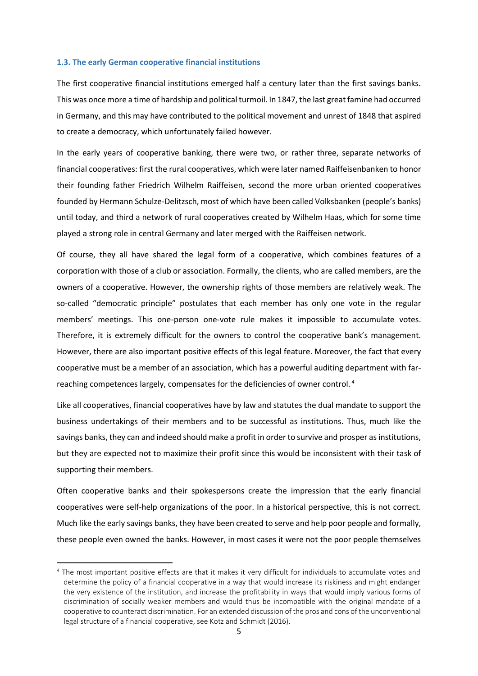#### **1.3. The early German cooperative financial institutions**

The first cooperative financial institutions emerged half a century later than the first savings banks. This was once more a time of hardship and political turmoil. In 1847, the last great famine had occurred in Germany, and this may have contributed to the political movement and unrest of 1848 that aspired to create a democracy, which unfortunately failed however.

In the early years of cooperative banking, there were two, or rather three, separate networks of financial cooperatives: first the rural cooperatives, which were later named Raiffeisenbanken to honor their founding father Friedrich Wilhelm Raiffeisen, second the more urban oriented cooperatives founded by Hermann Schulze-Delitzsch, most of which have been called Volksbanken (people's banks) until today, and third a network of rural cooperatives created by Wilhelm Haas, which for some time played a strong role in central Germany and later merged with the Raiffeisen network.

Of course, they all have shared the legal form of a cooperative, which combines features of a corporation with those of a club or association. Formally, the clients, who are called members, are the owners of a cooperative. However, the ownership rights of those members are relatively weak. The so-called "democratic principle" postulates that each member has only one vote in the regular members' meetings. This one-person one-vote rule makes it impossible to accumulate votes. Therefore, it is extremely difficult for the owners to control the cooperative bank's management. However, there are also important positive effects of this legal feature. Moreover, the fact that every cooperative must be a member of an association, which has a powerful auditing department with farreaching competences largely, compensates for the deficiencies of owner control.<sup>4</sup>

Like all cooperatives, financial cooperatives have by law and statutes the dual mandate to support the business undertakings of their members and to be successful as institutions. Thus, much like the savings banks, they can and indeed should make a profit in order to survive and prosper as institutions, but they are expected not to maximize their profit since this would be inconsistent with their task of supporting their members.

Often cooperative banks and their spokespersons create the impression that the early financial cooperatives were self-help organizations of the poor. In a historical perspective, this is not correct. Much like the early savings banks, they have been created to serve and help poor people and formally, these people even owned the banks. However, in most cases it were not the poor people themselves

<sup>4</sup> The most important positive effects are that it makes it very difficult for individuals to accumulate votes and determine the policy of a financial cooperative in a way that would increase its riskiness and might endanger the very existence of the institution, and increase the profitability in ways that would imply various forms of discrimination of socially weaker members and would thus be incompatible with the original mandate of a cooperative to counteract discrimination. For an extended discussion of the pros and cons of the unconventional legal structure of a financial cooperative, see Kotz and Schmidt (2016).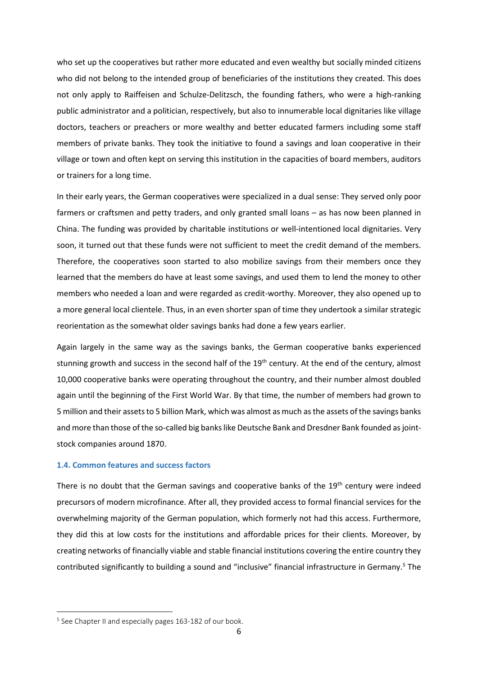who set up the cooperatives but rather more educated and even wealthy but socially minded citizens who did not belong to the intended group of beneficiaries of the institutions they created. This does not only apply to Raiffeisen and Schulze-Delitzsch, the founding fathers, who were a high-ranking public administrator and a politician, respectively, but also to innumerable local dignitaries like village doctors, teachers or preachers or more wealthy and better educated farmers including some staff members of private banks. They took the initiative to found a savings and loan cooperative in their village or town and often kept on serving this institution in the capacities of board members, auditors or trainers for a long time.

In their early years, the German cooperatives were specialized in a dual sense: They served only poor farmers or craftsmen and petty traders, and only granted small loans – as has now been planned in China. The funding was provided by charitable institutions or well-intentioned local dignitaries. Very soon, it turned out that these funds were not sufficient to meet the credit demand of the members. Therefore, the cooperatives soon started to also mobilize savings from their members once they learned that the members do have at least some savings, and used them to lend the money to other members who needed a loan and were regarded as credit-worthy. Moreover, they also opened up to a more general local clientele. Thus, in an even shorter span of time they undertook a similar strategic reorientation as the somewhat older savings banks had done a few years earlier.

Again largely in the same way as the savings banks, the German cooperative banks experienced stunning growth and success in the second half of the 19<sup>th</sup> century. At the end of the century, almost 10,000 cooperative banks were operating throughout the country, and their number almost doubled again until the beginning of the First World War. By that time, the number of members had grown to 5 million and their assets to 5 billion Mark, which was almost as much as the assets of the savings banks and more than those of the so-called big banks like Deutsche Bank and Dresdner Bank founded as jointstock companies around 1870.

## **1.4. Common features and success factors**

There is no doubt that the German savings and cooperative banks of the  $19<sup>th</sup>$  century were indeed precursors of modern microfinance. After all, they provided access to formal financial services for the overwhelming majority of the German population, which formerly not had this access. Furthermore, they did this at low costs for the institutions and affordable prices for their clients. Moreover, by creating networks of financially viable and stable financial institutions covering the entire country they contributed significantly to building a sound and "inclusive" financial infrastructure in Germany.<sup>5</sup> The

<sup>&</sup>lt;sup>5</sup> See Chapter II and especially pages 163-182 of our book.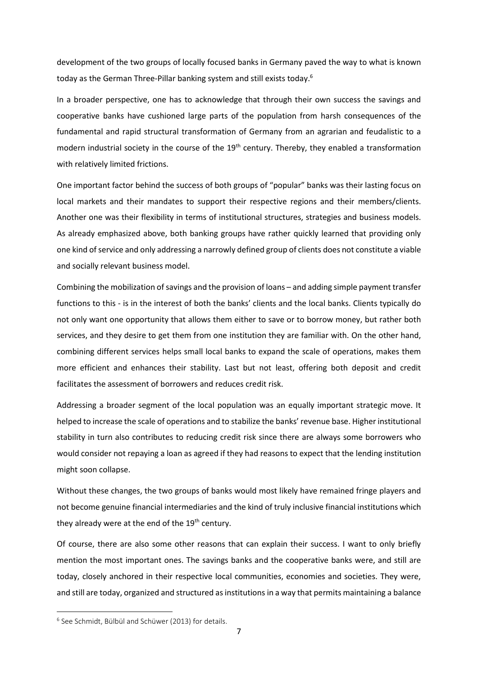development of the two groups of locally focused banks in Germany paved the way to what is known today as the German Three-Pillar banking system and still exists today.<sup>6</sup>

In a broader perspective, one has to acknowledge that through their own success the savings and cooperative banks have cushioned large parts of the population from harsh consequences of the fundamental and rapid structural transformation of Germany from an agrarian and feudalistic to a modern industrial society in the course of the 19<sup>th</sup> century. Thereby, they enabled a transformation with relatively limited frictions.

One important factor behind the success of both groups of "popular" banks was their lasting focus on local markets and their mandates to support their respective regions and their members/clients. Another one was their flexibility in terms of institutional structures, strategies and business models. As already emphasized above, both banking groups have rather quickly learned that providing only one kind of service and only addressing a narrowly defined group of clients does not constitute a viable and socially relevant business model.

Combining the mobilization of savings and the provision of loans – and adding simple payment transfer functions to this - is in the interest of both the banks' clients and the local banks. Clients typically do not only want one opportunity that allows them either to save or to borrow money, but rather both services, and they desire to get them from one institution they are familiar with. On the other hand, combining different services helps small local banks to expand the scale of operations, makes them more efficient and enhances their stability. Last but not least, offering both deposit and credit facilitates the assessment of borrowers and reduces credit risk.

Addressing a broader segment of the local population was an equally important strategic move. It helped to increase the scale of operations and to stabilize the banks' revenue base. Higher institutional stability in turn also contributes to reducing credit risk since there are always some borrowers who would consider not repaying a loan as agreed if they had reasons to expect that the lending institution might soon collapse.

Without these changes, the two groups of banks would most likely have remained fringe players and not become genuine financial intermediaries and the kind of truly inclusive financial institutions which they already were at the end of the  $19<sup>th</sup>$  century.

Of course, there are also some other reasons that can explain their success. I want to only briefly mention the most important ones. The savings banks and the cooperative banks were, and still are today, closely anchored in their respective local communities, economies and societies. They were, and still are today, organized and structured as institutions in a way that permits maintaining a balance

<sup>&</sup>lt;sup>6</sup> See Schmidt, Bülbül and Schüwer (2013) for details.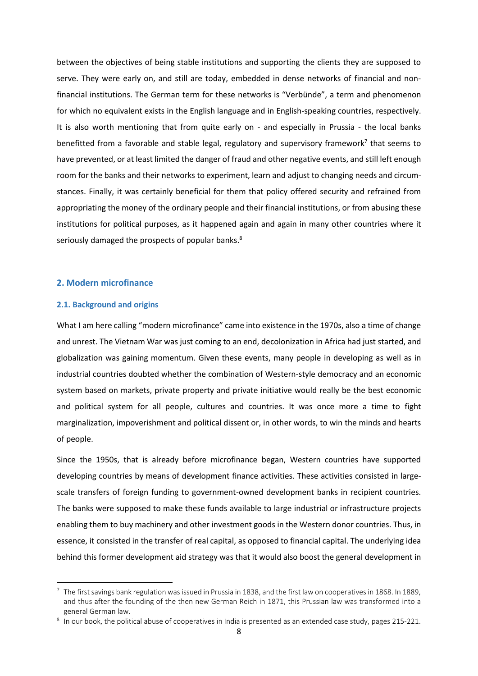between the objectives of being stable institutions and supporting the clients they are supposed to serve. They were early on, and still are today, embedded in dense networks of financial and nonfinancial institutions. The German term for these networks is "Verbünde", a term and phenomenon for which no equivalent exists in the English language and in English-speaking countries, respectively. It is also worth mentioning that from quite early on - and especially in Prussia - the local banks benefitted from a favorable and stable legal, regulatory and supervisory framework<sup>7</sup> that seems to have prevented, or at least limited the danger of fraud and other negative events, and still left enough room for the banks and their networks to experiment, learn and adjust to changing needs and circumstances. Finally, it was certainly beneficial for them that policy offered security and refrained from appropriating the money of the ordinary people and their financial institutions, or from abusing these institutions for political purposes, as it happened again and again in many other countries where it seriously damaged the prospects of popular banks.<sup>8</sup>

## **2. Modern microfinance**

## **2.1. Background and origins**

**.** 

What I am here calling "modern microfinance" came into existence in the 1970s, also a time of change and unrest. The Vietnam War was just coming to an end, decolonization in Africa had just started, and globalization was gaining momentum. Given these events, many people in developing as well as in industrial countries doubted whether the combination of Western-style democracy and an economic system based on markets, private property and private initiative would really be the best economic and political system for all people, cultures and countries. It was once more a time to fight marginalization, impoverishment and political dissent or, in other words, to win the minds and hearts of people.

Since the 1950s, that is already before microfinance began, Western countries have supported developing countries by means of development finance activities. These activities consisted in largescale transfers of foreign funding to government-owned development banks in recipient countries. The banks were supposed to make these funds available to large industrial or infrastructure projects enabling them to buy machinery and other investment goods in the Western donor countries. Thus, in essence, it consisted in the transfer of real capital, as opposed to financial capital. The underlying idea behind this former development aid strategy was that it would also boost the general development in

 $7$  The first savings bank regulation was issued in Prussia in 1838, and the first law on cooperatives in 1868. In 1889, and thus after the founding of the then new German Reich in 1871, this Prussian law was transformed into a general German law.

 $8$  In our book, the political abuse of cooperatives in India is presented as an extended case study, pages 215-221.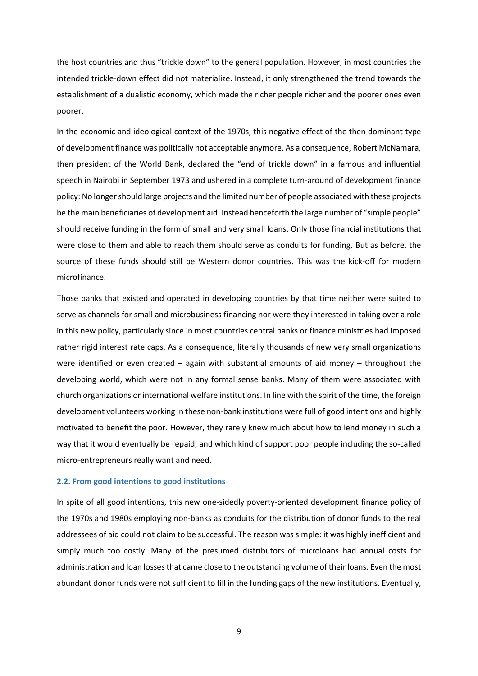the host countries and thus "trickle down" to the general population. However, in most countries the intended trickle-down effect did not materialize. Instead, it only strengthened the trend towards the establishment of a dualistic economy, which made the richer people richer and the poorer ones even poorer.

In the economic and ideological context of the 1970s, this negative effect of the then dominant type of development finance was politically not acceptable anymore. As a consequence, Robert McNamara, then president of the World Bank, declared the "end of trickle down" in a famous and influential speech in Nairobi in September 1973 and ushered in a complete turn-around of development finance policy: No longer should large projects and the limited number of people associated with these projects be the main beneficiaries of development aid. Instead henceforth the large number of "simple people" should receive funding in the form of small and very small loans. Only those financial institutions that were close to them and able to reach them should serve as conduits for funding. But as before, the source of these funds should still be Western donor countries. This was the kick-off for modern microfinance.

Those banks that existed and operated in developing countries by that time neither were suited to serve as channels for small and microbusiness financing nor were they interested in taking over a role in this new policy, particularly since in most countries central banks or finance ministries had imposed rather rigid interest rate caps. As a consequence, literally thousands of new very small organizations were identified or even created – again with substantial amounts of aid money – throughout the developing world, which were not in any formal sense banks. Many of them were associated with church organizations or international welfare institutions. In line with the spirit of the time, the foreign development volunteers working in these non-bank institutions were full of good intentions and highly motivated to benefit the poor. However, they rarely knew much about how to lend money in such a way that it would eventually be repaid, and which kind of support poor people including the so-called micro-entrepreneurs really want and need.

## **2.2. From good intentions to good institutions**

In spite of all good intentions, this new one-sidedly poverty-oriented development finance policy of the 1970s and 1980s employing non-banks as conduits for the distribution of donor funds to the real addressees of aid could not claim to be successful. The reason was simple: it was highly inefficient and simply much too costly. Many of the presumed distributors of microloans had annual costs for administration and loan losses that came close to the outstanding volume of their loans. Even the most abundant donor funds were not sufficient to fill in the funding gaps of the new institutions. Eventually,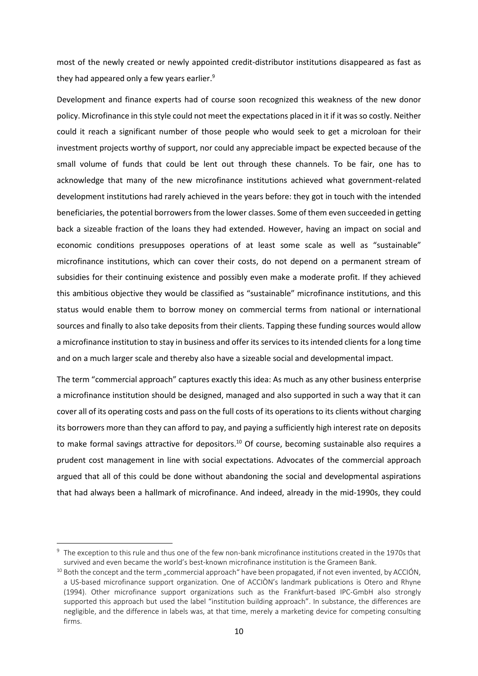most of the newly created or newly appointed credit-distributor institutions disappeared as fast as they had appeared only a few years earlier.<sup>9</sup>

Development and finance experts had of course soon recognized this weakness of the new donor policy. Microfinance in this style could not meet the expectations placed in it if it was so costly. Neither could it reach a significant number of those people who would seek to get a microloan for their investment projects worthy of support, nor could any appreciable impact be expected because of the small volume of funds that could be lent out through these channels. To be fair, one has to acknowledge that many of the new microfinance institutions achieved what government-related development institutions had rarely achieved in the years before: they got in touch with the intended beneficiaries, the potential borrowers from the lower classes. Some of them even succeeded in getting back a sizeable fraction of the loans they had extended. However, having an impact on social and economic conditions presupposes operations of at least some scale as well as "sustainable" microfinance institutions, which can cover their costs, do not depend on a permanent stream of subsidies for their continuing existence and possibly even make a moderate profit. If they achieved this ambitious objective they would be classified as "sustainable" microfinance institutions, and this status would enable them to borrow money on commercial terms from national or international sources and finally to also take deposits from their clients. Tapping these funding sources would allow a microfinance institution to stay in business and offer its servicesto its intended clients for a long time and on a much larger scale and thereby also have a sizeable social and developmental impact.

The term "commercial approach" captures exactly this idea: As much as any other business enterprise a microfinance institution should be designed, managed and also supported in such a way that it can cover all of its operating costs and pass on the full costs of its operations to its clients without charging its borrowers more than they can afford to pay, and paying a sufficiently high interest rate on deposits to make formal savings attractive for depositors.<sup>10</sup> Of course, becoming sustainable also requires a prudent cost management in line with social expectations. Advocates of the commercial approach argued that all of this could be done without abandoning the social and developmental aspirations that had always been a hallmark of microfinance. And indeed, already in the mid-1990s, they could

<sup>9</sup> The exception to this rule and thus one of the few non-bank microfinance institutions created in the 1970s that survived and even became the world's best-known microfinance institution is the Grameen Bank.

 $10$  Both the concept and the term "commercial approach" have been propagated, if not even invented, by ACCIÓN, a US-based microfinance support organization. One of ACCIÒN's landmark publications is Otero and Rhyne (1994). Other microfinance support organizations such as the Frankfurt-based IPC-GmbH also strongly supported this approach but used the label "institution building approach". In substance, the differences are negligible, and the difference in labels was, at that time, merely a marketing device for competing consulting firms.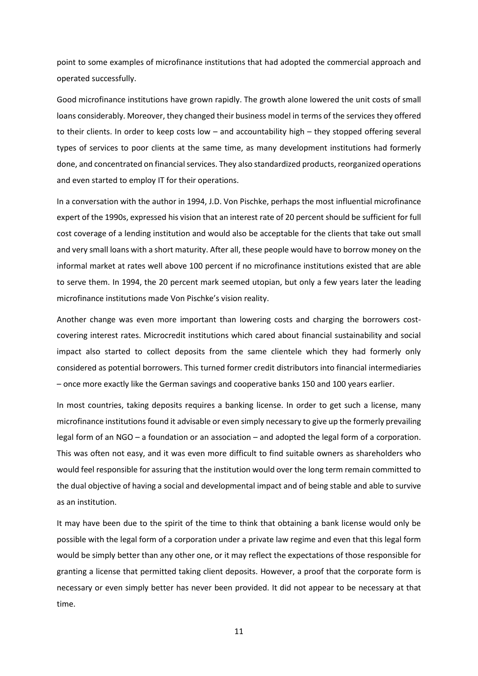point to some examples of microfinance institutions that had adopted the commercial approach and operated successfully.

Good microfinance institutions have grown rapidly. The growth alone lowered the unit costs of small loans considerably. Moreover, they changed their business model in terms of the services they offered to their clients. In order to keep costs low – and accountability high – they stopped offering several types of services to poor clients at the same time, as many development institutions had formerly done, and concentrated on financial services. They also standardized products, reorganized operations and even started to employ IT for their operations.

In a conversation with the author in 1994, J.D. Von Pischke, perhaps the most influential microfinance expert of the 1990s, expressed his vision that an interest rate of 20 percent should be sufficient for full cost coverage of a lending institution and would also be acceptable for the clients that take out small and very small loans with a short maturity. After all, these people would have to borrow money on the informal market at rates well above 100 percent if no microfinance institutions existed that are able to serve them. In 1994, the 20 percent mark seemed utopian, but only a few years later the leading microfinance institutions made Von Pischke's vision reality.

Another change was even more important than lowering costs and charging the borrowers costcovering interest rates. Microcredit institutions which cared about financial sustainability and social impact also started to collect deposits from the same clientele which they had formerly only considered as potential borrowers. This turned former credit distributors into financial intermediaries – once more exactly like the German savings and cooperative banks 150 and 100 years earlier.

In most countries, taking deposits requires a banking license. In order to get such a license, many microfinance institutions found it advisable or even simply necessary to give up the formerly prevailing legal form of an NGO – a foundation or an association – and adopted the legal form of a corporation. This was often not easy, and it was even more difficult to find suitable owners as shareholders who would feel responsible for assuring that the institution would over the long term remain committed to the dual objective of having a social and developmental impact and of being stable and able to survive as an institution.

It may have been due to the spirit of the time to think that obtaining a bank license would only be possible with the legal form of a corporation under a private law regime and even that this legal form would be simply better than any other one, or it may reflect the expectations of those responsible for granting a license that permitted taking client deposits. However, a proof that the corporate form is necessary or even simply better has never been provided. It did not appear to be necessary at that time.

11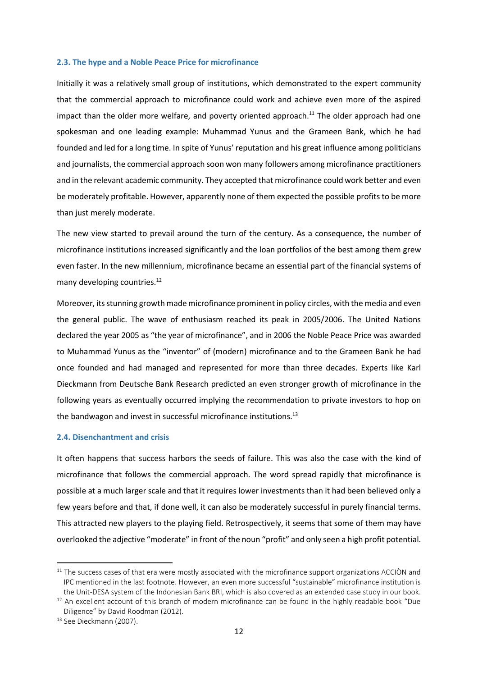## **2.3. The hype and a Noble Peace Price for microfinance**

Initially it was a relatively small group of institutions, which demonstrated to the expert community that the commercial approach to microfinance could work and achieve even more of the aspired impact than the older more welfare, and poverty oriented approach.<sup>11</sup> The older approach had one spokesman and one leading example: Muhammad Yunus and the Grameen Bank, which he had founded and led for a long time. In spite of Yunus' reputation and his great influence among politicians and journalists, the commercial approach soon won many followers among microfinance practitioners and in the relevant academic community. They accepted that microfinance could work better and even be moderately profitable. However, apparently none of them expected the possible profits to be more than just merely moderate.

The new view started to prevail around the turn of the century. As a consequence, the number of microfinance institutions increased significantly and the loan portfolios of the best among them grew even faster. In the new millennium, microfinance became an essential part of the financial systems of many developing countries. 12

Moreover, its stunning growth made microfinance prominent in policy circles, with the media and even the general public. The wave of enthusiasm reached its peak in 2005/2006. The United Nations declared the year 2005 as "the year of microfinance", and in 2006 the Noble Peace Price was awarded to Muhammad Yunus as the "inventor" of (modern) microfinance and to the Grameen Bank he had once founded and had managed and represented for more than three decades. Experts like Karl Dieckmann from Deutsche Bank Research predicted an even stronger growth of microfinance in the following years as eventually occurred implying the recommendation to private investors to hop on the bandwagon and invest in successful microfinance institutions.<sup>13</sup>

## **2.4. Disenchantment and crisis**

It often happens that success harbors the seeds of failure. This was also the case with the kind of microfinance that follows the commercial approach. The word spread rapidly that microfinance is possible at a much larger scale and that it requires lower investments than it had been believed only a few years before and that, if done well, it can also be moderately successful in purely financial terms. This attracted new players to the playing field. Retrospectively, it seems that some of them may have overlooked the adjective "moderate" in front of the noun "profit" and only seen a high profit potential.

 $11$  The success cases of that era were mostly associated with the microfinance support organizations ACCIÒN and IPC mentioned in the last footnote. However, an even more successful "sustainable" microfinance institution is the Unit-DESA system of the Indonesian Bank BRI, which is also covered as an extended case study in our book.

 $12$  An excellent account of this branch of modern microfinance can be found in the highly readable book "Due Diligence" by David Roodman (2012).

<sup>&</sup>lt;sup>13</sup> See Dieckmann (2007).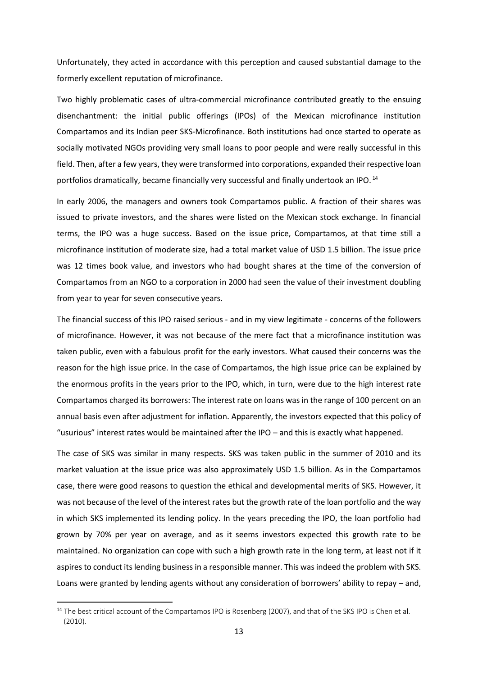Unfortunately, they acted in accordance with this perception and caused substantial damage to the formerly excellent reputation of microfinance.

Two highly problematic cases of ultra-commercial microfinance contributed greatly to the ensuing disenchantment: the initial public offerings (IPOs) of the Mexican microfinance institution Compartamos and its Indian peer SKS-Microfinance. Both institutions had once started to operate as socially motivated NGOs providing very small loans to poor people and were really successful in this field. Then, after a few years, they were transformed into corporations, expanded their respective loan portfolios dramatically, became financially very successful and finally undertook an IPO.<sup>14</sup>

In early 2006, the managers and owners took Compartamos public. A fraction of their shares was issued to private investors, and the shares were listed on the Mexican stock exchange. In financial terms, the IPO was a huge success. Based on the issue price, Compartamos, at that time still a microfinance institution of moderate size, had a total market value of USD 1.5 billion. The issue price was 12 times book value, and investors who had bought shares at the time of the conversion of Compartamos from an NGO to a corporation in 2000 had seen the value of their investment doubling from year to year for seven consecutive years.

The financial success of this IPO raised serious - and in my view legitimate - concerns of the followers of microfinance. However, it was not because of the mere fact that a microfinance institution was taken public, even with a fabulous profit for the early investors. What caused their concerns was the reason for the high issue price. In the case of Compartamos, the high issue price can be explained by the enormous profits in the years prior to the IPO, which, in turn, were due to the high interest rate Compartamos charged its borrowers: The interest rate on loans was in the range of 100 percent on an annual basis even after adjustment for inflation. Apparently, the investors expected that this policy of "usurious" interest rates would be maintained after the IPO – and this is exactly what happened.

The case of SKS was similar in many respects. SKS was taken public in the summer of 2010 and its market valuation at the issue price was also approximately USD 1.5 billion. As in the Compartamos case, there were good reasons to question the ethical and developmental merits of SKS. However, it was not because of the level of the interest rates but the growth rate of the loan portfolio and the way in which SKS implemented its lending policy. In the years preceding the IPO, the loan portfolio had grown by 70% per year on average, and as it seems investors expected this growth rate to be maintained. No organization can cope with such a high growth rate in the long term, at least not if it aspires to conduct its lending business in a responsible manner. This was indeed the problem with SKS. Loans were granted by lending agents without any consideration of borrowers' ability to repay – and,

1

<sup>&</sup>lt;sup>14</sup> The best critical account of the Compartamos IPO is Rosenberg (2007), and that of the SKS IPO is Chen et al. (2010).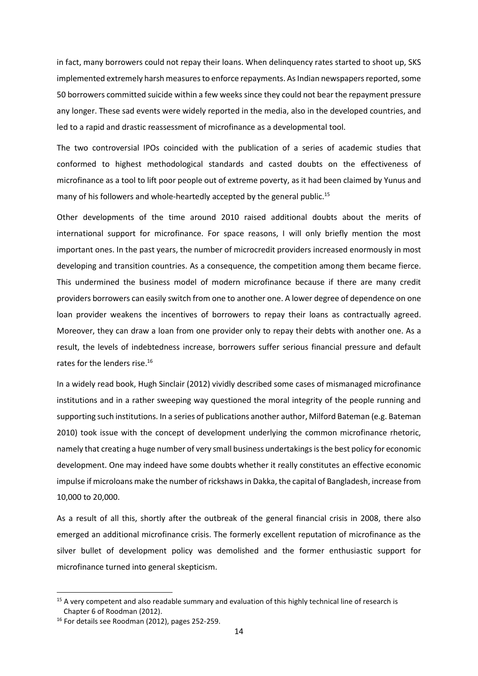in fact, many borrowers could not repay their loans. When delinquency rates started to shoot up, SKS implemented extremely harsh measures to enforce repayments. As Indian newspapers reported, some 50 borrowers committed suicide within a few weeks since they could not bear the repayment pressure any longer. These sad events were widely reported in the media, also in the developed countries, and led to a rapid and drastic reassessment of microfinance as a developmental tool.

The two controversial IPOs coincided with the publication of a series of academic studies that conformed to highest methodological standards and casted doubts on the effectiveness of microfinance as a tool to lift poor people out of extreme poverty, as it had been claimed by Yunus and many of his followers and whole-heartedly accepted by the general public.<sup>15</sup>

Other developments of the time around 2010 raised additional doubts about the merits of international support for microfinance. For space reasons, I will only briefly mention the most important ones. In the past years, the number of microcredit providers increased enormously in most developing and transition countries. As a consequence, the competition among them became fierce. This undermined the business model of modern microfinance because if there are many credit providers borrowers can easily switch from one to another one. A lower degree of dependence on one loan provider weakens the incentives of borrowers to repay their loans as contractually agreed. Moreover, they can draw a loan from one provider only to repay their debts with another one. As a result, the levels of indebtedness increase, borrowers suffer serious financial pressure and default rates for the lenders rise.<sup>16</sup>

In a widely read book, Hugh Sinclair (2012) vividly described some cases of mismanaged microfinance institutions and in a rather sweeping way questioned the moral integrity of the people running and supporting such institutions. In a series of publications another author, Milford Bateman (e.g. Bateman 2010) took issue with the concept of development underlying the common microfinance rhetoric, namely that creating a huge number of very small business undertakings is the best policy for economic development. One may indeed have some doubts whether it really constitutes an effective economic impulse if microloans make the number of rickshaws in Dakka, the capital of Bangladesh, increase from 10,000 to 20,000.

As a result of all this, shortly after the outbreak of the general financial crisis in 2008, there also emerged an additional microfinance crisis. The formerly excellent reputation of microfinance as the silver bullet of development policy was demolished and the former enthusiastic support for microfinance turned into general skepticism.

 $15$  A very competent and also readable summary and evaluation of this highly technical line of research is Chapter 6 of Roodman (2012).

<sup>&</sup>lt;sup>16</sup> For details see Roodman (2012), pages 252-259.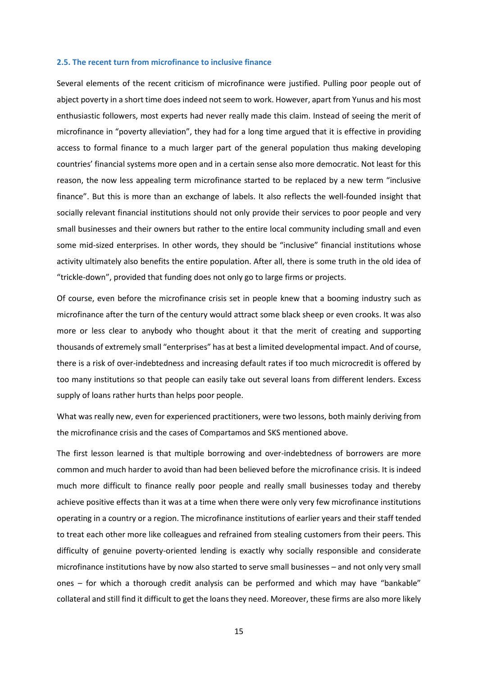## **2.5. The recent turn from microfinance to inclusive finance**

Several elements of the recent criticism of microfinance were justified. Pulling poor people out of abject poverty in a short time does indeed not seem to work. However, apart from Yunus and his most enthusiastic followers, most experts had never really made this claim. Instead of seeing the merit of microfinance in "poverty alleviation", they had for a long time argued that it is effective in providing access to formal finance to a much larger part of the general population thus making developing countries' financial systems more open and in a certain sense also more democratic. Not least for this reason, the now less appealing term microfinance started to be replaced by a new term "inclusive finance". But this is more than an exchange of labels. It also reflects the well-founded insight that socially relevant financial institutions should not only provide their services to poor people and very small businesses and their owners but rather to the entire local community including small and even some mid-sized enterprises. In other words, they should be "inclusive" financial institutions whose activity ultimately also benefits the entire population. After all, there is some truth in the old idea of "trickle-down", provided that funding does not only go to large firms or projects.

Of course, even before the microfinance crisis set in people knew that a booming industry such as microfinance after the turn of the century would attract some black sheep or even crooks. It was also more or less clear to anybody who thought about it that the merit of creating and supporting thousands of extremely small "enterprises" has at best a limited developmental impact. And of course, there is a risk of over-indebtedness and increasing default rates if too much microcredit is offered by too many institutions so that people can easily take out several loans from different lenders. Excess supply of loans rather hurts than helps poor people.

What was really new, even for experienced practitioners, were two lessons, both mainly deriving from the microfinance crisis and the cases of Compartamos and SKS mentioned above.

The first lesson learned is that multiple borrowing and over-indebtedness of borrowers are more common and much harder to avoid than had been believed before the microfinance crisis. It is indeed much more difficult to finance really poor people and really small businesses today and thereby achieve positive effects than it was at a time when there were only very few microfinance institutions operating in a country or a region. The microfinance institutions of earlier years and their staff tended to treat each other more like colleagues and refrained from stealing customers from their peers. This difficulty of genuine poverty-oriented lending is exactly why socially responsible and considerate microfinance institutions have by now also started to serve small businesses – and not only very small ones – for which a thorough credit analysis can be performed and which may have "bankable" collateral and still find it difficult to get the loans they need. Moreover, these firms are also more likely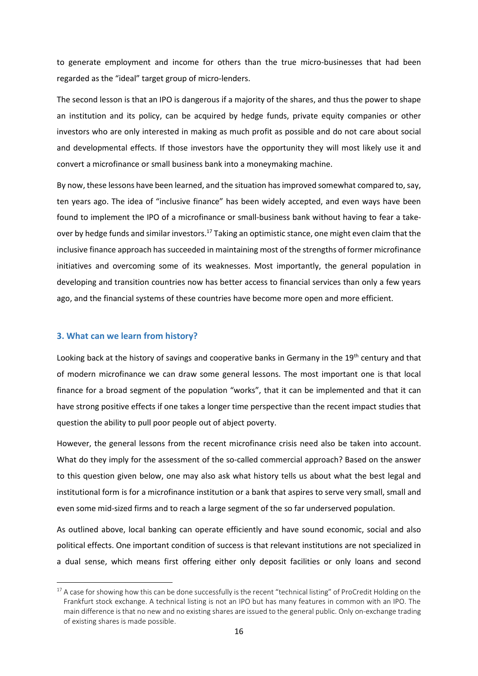to generate employment and income for others than the true micro-businesses that had been regarded as the "ideal" target group of micro-lenders.

The second lesson is that an IPO is dangerous if a majority of the shares, and thus the power to shape an institution and its policy, can be acquired by hedge funds, private equity companies or other investors who are only interested in making as much profit as possible and do not care about social and developmental effects. If those investors have the opportunity they will most likely use it and convert a microfinance or small business bank into a moneymaking machine.

By now, these lessons have been learned, and the situation has improved somewhat compared to, say, ten years ago. The idea of "inclusive finance" has been widely accepted, and even ways have been found to implement the IPO of a microfinance or small-business bank without having to fear a takeover by hedge funds and similar investors.<sup>17</sup> Taking an optimistic stance, one might even claim that the inclusive finance approach has succeeded in maintaining most of the strengths of former microfinance initiatives and overcoming some of its weaknesses. Most importantly, the general population in developing and transition countries now has better access to financial services than only a few years ago, and the financial systems of these countries have become more open and more efficient.

## **3. What can we learn from history?**

**.** 

Looking back at the history of savings and cooperative banks in Germany in the  $19<sup>th</sup>$  century and that of modern microfinance we can draw some general lessons. The most important one is that local finance for a broad segment of the population "works", that it can be implemented and that it can have strong positive effects if one takes a longer time perspective than the recent impact studies that question the ability to pull poor people out of abject poverty.

However, the general lessons from the recent microfinance crisis need also be taken into account. What do they imply for the assessment of the so-called commercial approach? Based on the answer to this question given below, one may also ask what history tells us about what the best legal and institutional form is for a microfinance institution or a bank that aspires to serve very small, small and even some mid-sized firms and to reach a large segment of the so far underserved population.

As outlined above, local banking can operate efficiently and have sound economic, social and also political effects. One important condition of success is that relevant institutions are not specialized in a dual sense, which means first offering either only deposit facilities or only loans and second

 $17$  A case for showing how this can be done successfully is the recent "technical listing" of ProCredit Holding on the Frankfurt stock exchange. A technical listing is not an IPO but has many features in common with an IPO. The main difference is that no new and no existing shares are issued to the general public. Only on-exchange trading of existing shares is made possible.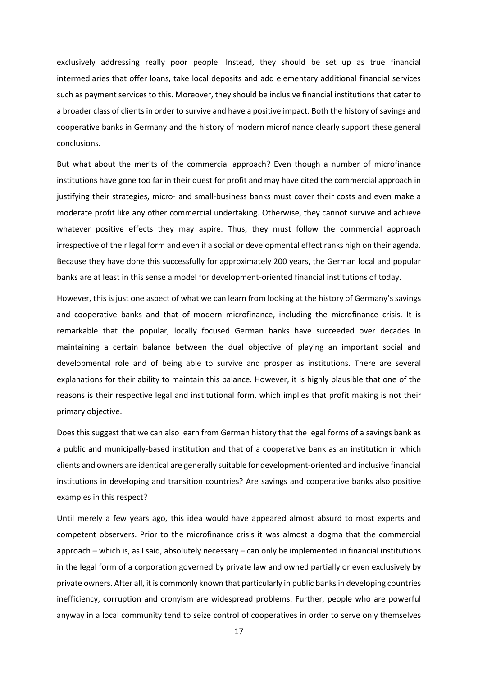exclusively addressing really poor people. Instead, they should be set up as true financial intermediaries that offer loans, take local deposits and add elementary additional financial services such as payment services to this. Moreover, they should be inclusive financial institutions that cater to a broader class of clients in order to survive and have a positive impact. Both the history of savings and cooperative banks in Germany and the history of modern microfinance clearly support these general conclusions.

But what about the merits of the commercial approach? Even though a number of microfinance institutions have gone too far in their quest for profit and may have cited the commercial approach in justifying their strategies, micro- and small-business banks must cover their costs and even make a moderate profit like any other commercial undertaking. Otherwise, they cannot survive and achieve whatever positive effects they may aspire. Thus, they must follow the commercial approach irrespective of their legal form and even if a social or developmental effect ranks high on their agenda. Because they have done this successfully for approximately 200 years, the German local and popular banks are at least in this sense a model for development-oriented financial institutions of today.

However, this is just one aspect of what we can learn from looking at the history of Germany's savings and cooperative banks and that of modern microfinance, including the microfinance crisis. It is remarkable that the popular, locally focused German banks have succeeded over decades in maintaining a certain balance between the dual objective of playing an important social and developmental role and of being able to survive and prosper as institutions. There are several explanations for their ability to maintain this balance. However, it is highly plausible that one of the reasons is their respective legal and institutional form, which implies that profit making is not their primary objective.

Does this suggest that we can also learn from German history that the legal forms of a savings bank as a public and municipally-based institution and that of a cooperative bank as an institution in which clients and owners are identical are generally suitable for development-oriented and inclusive financial institutions in developing and transition countries? Are savings and cooperative banks also positive examples in this respect?

Until merely a few years ago, this idea would have appeared almost absurd to most experts and competent observers. Prior to the microfinance crisis it was almost a dogma that the commercial approach – which is, as I said, absolutely necessary – can only be implemented in financial institutions in the legal form of a corporation governed by private law and owned partially or even exclusively by private owners. After all, it is commonly known that particularly in public banks in developing countries inefficiency, corruption and cronyism are widespread problems. Further, people who are powerful anyway in a local community tend to seize control of cooperatives in order to serve only themselves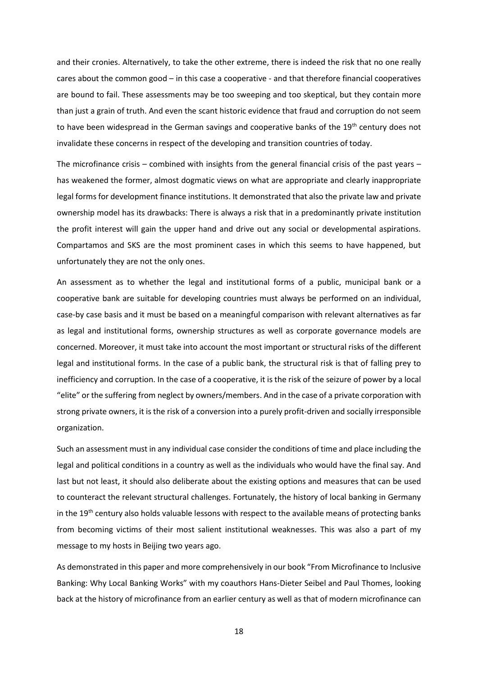and their cronies. Alternatively, to take the other extreme, there is indeed the risk that no one really cares about the common good – in this case a cooperative - and that therefore financial cooperatives are bound to fail. These assessments may be too sweeping and too skeptical, but they contain more than just a grain of truth. And even the scant historic evidence that fraud and corruption do not seem to have been widespread in the German savings and cooperative banks of the 19<sup>th</sup> century does not invalidate these concerns in respect of the developing and transition countries of today.

The microfinance crisis – combined with insights from the general financial crisis of the past years – has weakened the former, almost dogmatic views on what are appropriate and clearly inappropriate legal forms for development finance institutions. It demonstrated that also the private law and private ownership model has its drawbacks: There is always a risk that in a predominantly private institution the profit interest will gain the upper hand and drive out any social or developmental aspirations. Compartamos and SKS are the most prominent cases in which this seems to have happened, but unfortunately they are not the only ones.

An assessment as to whether the legal and institutional forms of a public, municipal bank or a cooperative bank are suitable for developing countries must always be performed on an individual, case-by case basis and it must be based on a meaningful comparison with relevant alternatives as far as legal and institutional forms, ownership structures as well as corporate governance models are concerned. Moreover, it must take into account the most important or structural risks of the different legal and institutional forms. In the case of a public bank, the structural risk is that of falling prey to inefficiency and corruption. In the case of a cooperative, it is the risk of the seizure of power by a local "elite" or the suffering from neglect by owners/members. And in the case of a private corporation with strong private owners, it is the risk of a conversion into a purely profit-driven and socially irresponsible organization.

Such an assessment must in any individual case consider the conditions of time and place including the legal and political conditions in a country as well as the individuals who would have the final say. And last but not least, it should also deliberate about the existing options and measures that can be used to counteract the relevant structural challenges. Fortunately, the history of local banking in Germany in the 19<sup>th</sup> century also holds valuable lessons with respect to the available means of protecting banks from becoming victims of their most salient institutional weaknesses. This was also a part of my message to my hosts in Beijing two years ago.

As demonstrated in this paper and more comprehensively in our book "From Microfinance to Inclusive Banking: Why Local Banking Works" with my coauthors Hans-Dieter Seibel and Paul Thomes, looking back at the history of microfinance from an earlier century as well as that of modern microfinance can

18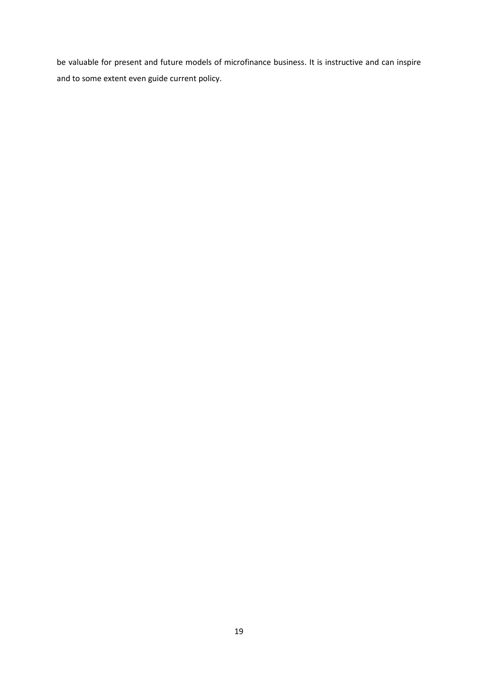be valuable for present and future models of microfinance business. It is instructive and can inspire and to some extent even guide current policy.